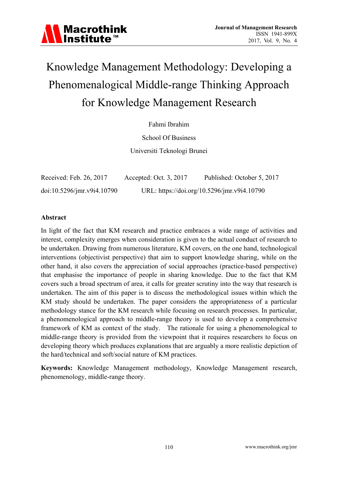

# Knowledge Management Methodology: Developing a Phenomenalogical Middle-range Thinking Approach for Knowledge Management Research

Fahmi Ibrahim

School Of Business

Universiti Teknologi Brunei

| Received: Feb. 26, 2017    | Accepted: Oct. 3, 2017                      | Published: October 5, 2017 |  |
|----------------------------|---------------------------------------------|----------------------------|--|
| doi:10.5296/jmr.v9i4.10790 | URL: https://doi.org/10.5296/jmr.v9i4.10790 |                            |  |

#### **Abstract**

In light of the fact that KM research and practice embraces a wide range of activities and interest, complexity emerges when consideration is given to the actual conduct of research to be undertaken. Drawing from numerous literature, KM covers, on the one hand, technological interventions (objectivist perspective) that aim to support knowledge sharing, while on the other hand, it also covers the appreciation of social approaches (practice-based perspective) that emphasise the importance of people in sharing knowledge. Due to the fact that KM covers such a broad spectrum of area, it calls for greater scrutiny into the way that research is undertaken. The aim of this paper is to discuss the methodological issues within which the KM study should be undertaken. The paper considers the appropriateness of a particular methodology stance for the KM research while focusing on research processes. In particular, a phenomenological approach to middle-range theory is used to develop a comprehensive framework of KM as context of the study. The rationale for using a phenomenological to middle-range theory is provided from the viewpoint that it requires researchers to focus on developing theory which produces explanations that are arguably a more realistic depiction of the hard/technical and soft/social nature of KM practices.

**Keywords:** Knowledge Management methodology, Knowledge Management research, phenomenology, middle-range theory.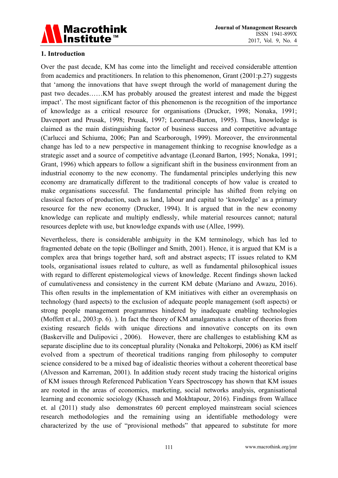

## **1. Introduction**

Over the past decade, KM has come into the limelight and received considerable attention from academics and practitioners. In relation to this phenomenon, Grant (2001:p.27) suggests that 'among the innovations that have swept through the world of management during the past two decades……KM has probably aroused the greatest interest and made the biggest impact'. The most significant factor of this phenomenon is the recognition of the importance of knowledge as a critical resource for organisations (Drucker, 1998; Nonaka, 1991; Davenport and Prusak, 1998; Prusak, 1997; Leornard-Barton, 1995). Thus, knowledge is claimed as the main distinguishing factor of business success and competitive advantage (Carlucci and Schiuma, 2006; Pan and Scarborough, 1999). Moreover, the environmental change has led to a new perspective in management thinking to recognise knowledge as a strategic asset and a source of competitive advantage (Leonard Barton, 1995; Nonaka, 1991; Grant, 1996) which appears to follow a significant shift in the business environment from an industrial economy to the new economy. The fundamental principles underlying this new economy are dramatically different to the traditional concepts of how value is created to make organisations successful. The fundamental principle has shifted from relying on classical factors of production, such as land, labour and capital to 'knowledge' as a primary resource for the new economy (Drucker, 1994). It is argued that in the new economy knowledge can replicate and multiply endlessly, while material resources cannot; natural resources deplete with use, but knowledge expands with use (Allee, 1999).

Nevertheless, there is considerable ambiguity in the KM terminology, which has led to fragmented debate on the topic (Bollinger and Smith, 2001). Hence, it is argued that KM is a complex area that brings together hard, soft and abstract aspects; IT issues related to KM tools, organisational issues related to culture, as well as fundamental philosophical issues with regard to different epistemological views of knowledge. Recent findings shown lacked of cumulativeness and consistency in the current KM debate (Mariano and Awazu, 2016). This often results in the implementation of KM initiatives with either an overemphasis on technology (hard aspects) to the exclusion of adequate people management (soft aspects) or strong people management programmes hindered by inadequate enabling technologies (Moffett et al., 2003:p. 6). ). In fact the theory of KM amalgamates a cluster of theories from existing research fields with unique directions and innovative concepts on its own (Baskerville and Dulipovici , 2006). However, there are challenges to establishing KM as separate discipline due to its conceptual plurality (Nonaka and Peltokorpi, 2006) as KM itself evolved from a spectrum of theoretical traditions ranging from philosophy to computer science considered to be a mixed bag of idealistic theories without a coherent theoretical base (Alvesson and Karreman, 2001). In addition study recent study tracing the historical origins of KM issues through Referenced Publication Years Spectroscopy has shown that KM issues are rooted in the areas of economics, marketing, social networks analysis, organisational learning and economic sociology (Khasseh and Mokhtapour, 2016). Findings from Wallace et. al (2011) study also demonstrates 60 percent employed mainstream social sciences research methodologies and the remaining using an identifiable methodology were characterized by the use of "provisional methods" that appeared to substitute for more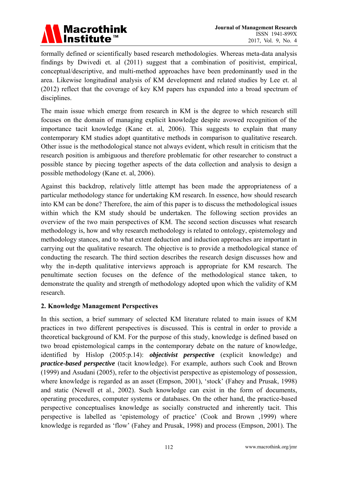

formally defined or scientifically based research methodologies. Whereas meta-data analysis findings by Dwivedi et. al (2011) suggest that a combination of positivist, empirical, conceptual/descriptive, and multi-method approaches have been predominantly used in the area. Likewise longitudinal analysis of KM development and related studies by Lee et. al (2012) reflect that the coverage of key KM papers has expanded into a broad spectrum of disciplines.

The main issue which emerge from research in KM is the degree to which research still focuses on the domain of managing explicit knowledge despite avowed recognition of the importance tacit knowledge (Kane et. al, 2006). This suggests to explain that many contemporary KM studies adopt quantitative methods in comparison to qualitative research. Other issue is the methodological stance not always evident, which result in criticism that the research position is ambiguous and therefore problematic for other researcher to construct a possible stance by piecing together aspects of the data collection and analysis to design a possible methodology (Kane et. al, 2006).

Against this backdrop, relatively little attempt has been made the appropriateness of a particular methodology stance for undertaking KM research. In essence, how should research into KM can be done? Therefore, the aim of this paper is to discuss the methodological issues within which the KM study should be undertaken. The following section provides an overview of the two main perspectives of KM. The second section discusses what research methodology is, how and why research methodology is related to ontology, epistemology and methodology stances, and to what extent deduction and induction approaches are important in carrying out the qualitative research. The objective is to provide a methodological stance of conducting the research. The third section describes the research design discusses how and why the in-depth qualitative interviews approach is appropriate for KM research. The penultimate section focuses on the defence of the methodological stance taken, to demonstrate the quality and strength of methodology adopted upon which the validity of KM research.

#### **2. Knowledge Management Perspectives**

In this section, a brief summary of selected KM literature related to main issues of KM practices in two different perspectives is discussed. This is central in order to provide a theoretical background of KM. For the purpose of this study, knowledge is defined based on two broad epistemological camps in the contemporary debate on the nature of knowledge, identified by Hislop (2005:p.14): *objectivist perspective* (explicit knowledge) and *practice-based perspective* (tacit knowledge). For example, authors such Cook and Brown (1999) and Asudani (2005), refer to the objectivist perspective as epistemology of possession, where knowledge is regarded as an asset (Empson, 2001), 'stock' (Fahey and Prusak, 1998) and static (Newell et al., 2002). Such knowledge can exist in the form of documents, operating procedures, computer systems or databases. On the other hand, the practice-based perspective conceptualises knowledge as socially constructed and inherently tacit. This perspective is labelled as 'epistemology of practice' (Cook and Brown ,1999) where knowledge is regarded as 'flow' (Fahey and Prusak, 1998) and process (Empson, 2001). The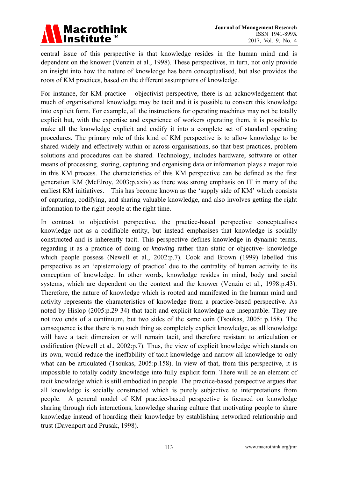

central issue of this perspective is that knowledge resides in the human mind and is dependent on the knower (Venzin et al., 1998). These perspectives, in turn, not only provide an insight into how the nature of knowledge has been conceptualised, but also provides the roots of KM practices, based on the different assumptions of knowledge.

For instance, for KM practice – objectivist perspective, there is an acknowledgement that much of organisational knowledge may be tacit and it is possible to convert this knowledge into explicit form. For example, all the instructions for operating machines may not be totally explicit but, with the expertise and experience of workers operating them, it is possible to make all the knowledge explicit and codify it into a complete set of standard operating procedures. The primary role of this kind of KM perspective is to allow knowledge to be shared widely and effectively within or across organisations, so that best practices, problem solutions and procedures can be shared. Technology, includes hardware, software or other means of processing, storing, capturing and organising data or information plays a major role in this KM process. The characteristics of this KM perspective can be defined as the first generation KM (McElroy, 2003:p.xxiv) as there was strong emphasis on IT in many of the earliest KM initiatives. This has become known as the 'supply side of KM' which consists of capturing, codifying, and sharing valuable knowledge, and also involves getting the right information to the right people at the right time.

In contrast to objectivist perspective, the practice-based perspective conceptualises knowledge not as a codifiable entity, but instead emphasises that knowledge is socially constructed and is inherently tacit. This perspective defines knowledge in dynamic terms, regarding it as a practice of doing or *knowing* rather than static or objective- knowledge which people possess (Newell et al., 2002:p.7). Cook and Brown (1999) labelled this perspective as an 'epistemology of practice' due to the centrality of human activity to its conception of knowledge. In other words, knowledge resides in mind, body and social systems, which are dependent on the context and the knower (Venzin et al., 1998:p.43). Therefore, the nature of knowledge which is rooted and manifested in the human mind and activity represents the characteristics of knowledge from a practice-based perspective. As noted by Hislop (2005:p.29-34) that tacit and explicit knowledge are inseparable. They are not two ends of a continuum, but two sides of the same coin (Tsoukas, 2005: p.158). The consequence is that there is no such thing as completely explicit knowledge, as all knowledge will have a tacit dimension or will remain tacit, and therefore resistant to articulation or codification (Newell et al., 2002:p.7). Thus, the view of explicit knowledge which stands on its own, would reduce the ineffability of tacit knowledge and narrow all knowledge to only what can be articulated (Tsoukas, 2005:p.158). In view of that, from this perspective, it is impossible to totally codify knowledge into fully explicit form. There will be an element of tacit knowledge which is still embodied in people. The practice-based perspective argues that all knowledge is socially constructed which is purely subjective to interpretations from people. A general model of KM practice-based perspective is focused on knowledge sharing through rich interactions, knowledge sharing culture that motivating people to share knowledge instead of hoarding their knowledge by establishing networked relationship and trust (Davenport and Prusak, 1998).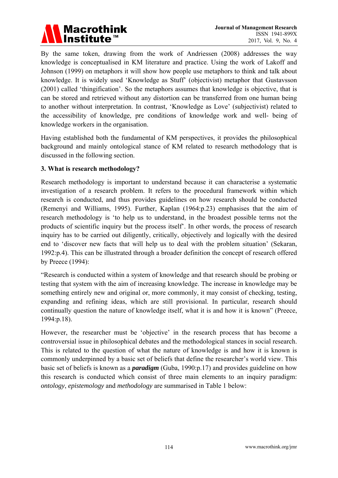

By the same token, drawing from the work of Andriessen (2008) addresses the way knowledge is conceptualised in KM literature and practice. Using the work of Lakoff and Johnson (1999) on metaphors it will show how people use metaphors to think and talk about knowledge. It is widely used 'Knowledge as Stuff' (objectivist) metaphor that Gustavsson (2001) called 'thingification'. So the metaphors assumes that knowledge is objective, that is can be stored and retrieved without any distortion can be transferred from one human being to another without interpretation. In contrast, 'Knowledge as Love' (subjectivist) related to the accessibility of knowledge, pre conditions of knowledge work and well- being of knowledge workers in the organisation.

Having established both the fundamental of KM perspectives, it provides the philosophical background and mainly ontological stance of KM related to research methodology that is discussed in the following section.

### **3. What is research methodology?**

Research methodology is important to understand because it can characterise a systematic investigation of a research problem. It refers to the procedural framework within which research is conducted, and thus provides guidelines on how research should be conducted (Remenyi and Williams, 1995). Further, Kaplan (1964:p.23) emphasises that the aim of research methodology is 'to help us to understand, in the broadest possible terms not the products of scientific inquiry but the process itself'. In other words, the process of research inquiry has to be carried out diligently, critically, objectively and logically with the desired end to 'discover new facts that will help us to deal with the problem situation' (Sekaran, 1992:p.4). This can be illustrated through a broader definition the concept of research offered by Preece (1994):

"Research is conducted within a system of knowledge and that research should be probing or testing that system with the aim of increasing knowledge. The increase in knowledge may be something entirely new and original or, more commonly, it may consist of checking, testing, expanding and refining ideas, which are still provisional. In particular, research should continually question the nature of knowledge itself, what it is and how it is known" (Preece, 1994:p.18).

However, the researcher must be 'objective' in the research process that has become a controversial issue in philosophical debates and the methodological stances in social research. This is related to the question of what the nature of knowledge is and how it is known is commonly underpinned by a basic set of beliefs that define the researcher's world view. This basic set of beliefs is known as a *paradigm* (Guba, 1990:p.17) and provides guideline on how this research is conducted which consist of three main elements to an inquiry paradigm: *ontology*, *epistemology* and *methodology* are summarised in Table 1 below: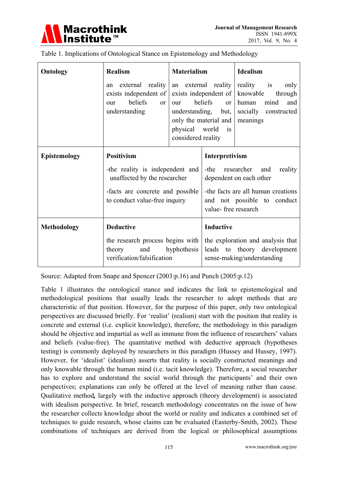

| <b>Ontology</b>     | <b>Realism</b>                                                                           | <b>Materialism</b>                          |                                                                                                                                 | <b>Idealism</b>                                                                                       |
|---------------------|------------------------------------------------------------------------------------------|---------------------------------------------|---------------------------------------------------------------------------------------------------------------------------------|-------------------------------------------------------------------------------------------------------|
|                     | external reality<br>an<br>exists independent of<br>beliefs<br>or<br>our<br>understanding | our<br>physical world<br>considered reality | an external reality<br>exists independent of<br>beliefs<br>or<br>understanding, but,<br>only the material and<br><sup>1</sup> S | reality is<br>only<br>knowable<br>through<br>mind<br>human<br>and<br>socially constructed<br>meanings |
| <b>Epistemology</b> | <b>Positivism</b>                                                                        |                                             | Interpretivism                                                                                                                  |                                                                                                       |
|                     | -the reality is independent and<br>unaffected by the researcher                          |                                             | -the researcher and<br>reality<br>dependent on each other                                                                       |                                                                                                       |
|                     | -facts are concrete and possible<br>to conduct value-free inquiry                        |                                             | -the facts are all human creations<br>and not possible to conduct<br>value-free research                                        |                                                                                                       |
| <b>Methodology</b>  | <b>Deductive</b>                                                                         |                                             | Inductive                                                                                                                       |                                                                                                       |
|                     | the research process begins with<br>theory<br>verification/falsification                 | and hyphothesis                             |                                                                                                                                 | the exploration and analysis that<br>leads to theory development<br>sense-making/understanding        |

Table 1. Implications of Ontological Stance on Epistemology and Methodology

Source: Adapted from Snape and Spencer (2003:p.16) and Punch (2005:p.12)

Table 1 illustrates the ontological stance and indicates the link to epistemological and methodological positions that usually leads the researcher to adopt methods that are characteristic of that position. However, for the purpose of this paper, only two ontological perspectives are discussed briefly. For 'realist' (realism) start with the position that reality is concrete and external (i.e. explicit knowledge), therefore, the methodology in this paradigm should be objective and impartial as well as immune from the influence of researchers' values and beliefs (value-free). The quantitative method with deductive approach (hypotheses testing) is commonly deployed by researchers in this paradigm (Hussey and Hussey, 1997). However, for 'idealist' (idealism) asserts that reality is socially constructed meanings and only knowable through the human mind (i.e. tacit knowledge). Therefore, a social researcher has to explore and understand the social world through the participants' and their own perspectives; explanations can only be offered at the level of meaning rather than cause. Qualitative method*,* largely with the inductive approach (theory development) is associated with idealism perspective. In brief, research methodology concentrates on the issue of how the researcher collects knowledge about the world or reality and indicates a combined set of techniques to guide research, whose claims can be evaluated (Easterby-Smith, 2002). These combinations of techniques are derived from the logical or philosophical assumptions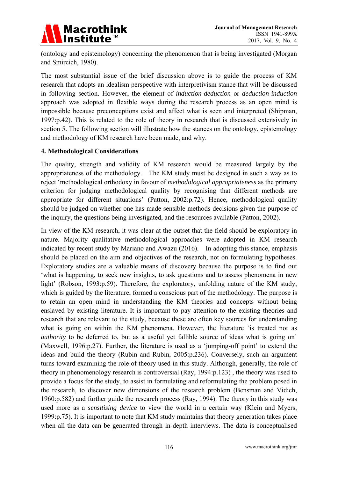

(ontology and epistemology) concerning the phenomenon that is being investigated (Morgan and Smircich, 1980).

The most substantial issue of the brief discussion above is to guide the process of KM research that adopts an idealism perspective with interpretivism stance that will be discussed in following section. However, the element of *induction-deduction* or *deduction-induction* approach was adopted in flexible ways during the research process as an open mind is impossible because preconceptions exist and affect what is seen and interpreted (Shipman, 1997:p.42). This is related to the role of theory in research that is discussed extensively in section 5. The following section will illustrate how the stances on the ontology, epistemology and methodology of KM research have been made, and why.

#### **4. Methodological Considerations**

The quality, strength and validity of KM research would be measured largely by the appropriateness of the methodology. The KM study must be designed in such a way as to reject 'methodological orthodoxy in favour of *methodological appropriateness* as the primary criterion for judging methodological quality by recognising that different methods are appropriate for different situations' (Patton, 2002:p.72). Hence, methodological quality should be judged on whether one has made sensible methods decisions given the purpose of the inquiry, the questions being investigated, and the resources available (Patton, 2002).

In view of the KM research, it was clear at the outset that the field should be exploratory in nature. Majority qualitative methodological approaches were adopted in KM research indicated by recent study by Mariano and Awazu (2016). In adopting this stance, emphasis should be placed on the aim and objectives of the research, not on formulating hypotheses. Exploratory studies are a valuable means of discovery because the purpose is to find out 'what is happening, to seek new insights, to ask questions and to assess phenomena in new light' (Robson, 1993:p.59). Therefore, the exploratory, unfolding nature of the KM study, which is guided by the literature, formed a conscious part of the methodology. The purpose is to retain an open mind in understanding the KM theories and concepts without being enslaved by existing literature. It is important to pay attention to the existing theories and research that are relevant to the study, because these are often key sources for understanding what is going on within the KM phenomena. However, the literature 'is treated not as *authority* to be deferred to, but as a useful yet fallible source of ideas what is going on' (Maxwell, 1996:p.27). Further, the literature is used as a 'jumping-off point' to extend the ideas and build the theory (Rubin and Rubin, 2005:p.236). Conversely, such an argument turns toward examining the role of theory used in this study. Although, generally, the role of theory in phenomenology research is controversial (Ray, 1994:p.123) , the theory was used to provide a focus for the study, to assist in formulating and reformulating the problem posed in the research, to discover new dimensions of the research problem (Bensman and Vidich, 1960:p.582) and further guide the research process (Ray, 1994). The theory in this study was used more as a *sensitising device* to view the world in a certain way (Klein and Myers, 1999:p.75). It is important to note that KM study maintains that theory generation takes place when all the data can be generated through in-depth interviews. The data is conceptualised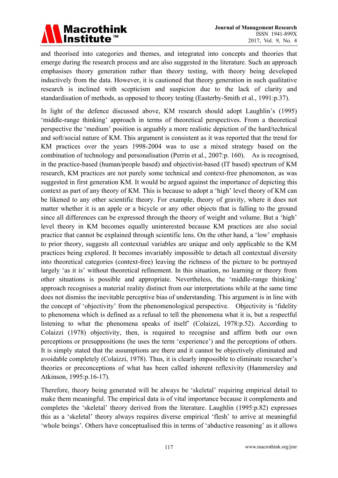# Macrothink<br>Institute™

and theorised into categories and themes, and integrated into concepts and theories that emerge during the research process and are also suggested in the literature. Such an approach emphasises theory generation rather than theory testing, with theory being developed inductively from the data. However, it is cautioned that theory generation in such qualitative research is inclined with scepticism and suspicion due to the lack of clarity and standardisation of methods, as opposed to theory testing (Easterby-Smith et al., 1991:p.37).

In light of the defence discussed above, KM research should adopt Laughlin's (1995) 'middle-range thinking' approach in terms of theoretical perspectives. From a theoretical perspective the 'medium' position is arguably a more realistic depiction of the hard/technical and soft/social nature of KM. This argument is consistent as it was reported that the trend for KM practices over the years 1998-2004 was to use a mixed strategy based on the combination of technology and personalisation (Perrin et al., 2007:p. 160). As is recognised, in the practice-based (human/people based) and objectivist-based (IT based) spectrum of KM research, KM practices are not purely some technical and context-free phenomenon, as was suggested in first generation KM. It would be argued against the importance of depicting this context as part of any theory of KM. This is because to adopt a 'high' level theory of KM can be likened to any other scientific theory. For example, theory of gravity, where it does not matter whether it is an apple or a bicycle or any other objects that is falling to the ground since all differences can be expressed through the theory of weight and volume. But a 'high' level theory in KM becomes equally uninterested because KM practices are also social practice that cannot be explained through scientific lens. On the other hand, a 'low' emphasis to prior theory, suggests all contextual variables are unique and only applicable to the KM practices being explored. It becomes invariably impossible to detach all contextual diversity into theoretical categories (context-free) leaving the richness of the picture to be portrayed largely 'as it is' without theoretical refinement. In this situation, no learning or theory from other situations is possible and appropriate. Nevertheless, the 'middle-range thinking' approach recognises a material reality distinct from our interpretations while at the same time does not dismiss the inevitable perceptive bias of understanding. This argument is in line with the concept of 'objectivity' from the phenomenological perspective. Objectivity is 'fidelity to phenomena which is defined as a refusal to tell the phenomena what it is, but a respectful listening to what the phenomena speaks of itself' (Colaizzi, 1978:p.52). According to Colaizzi (1978) objectivity, then, is required to recognise and affirm both our own perceptions or presuppositions (he uses the term 'experience') and the perceptions of others. It is simply stated that the assumptions are there and it cannot be objectively eliminated and avoidable completely (Colaizzi, 1978). Thus, it is clearly impossible to eliminate researcher's theories or preconceptions of what has been called inherent reflexivity (Hammersley and Atkinson, 1995:p.16-17).

Therefore, theory being generated will be always be 'skeletal' requiring empirical detail to make them meaningful. The empirical data is of vital importance because it complements and completes the 'skeletal' theory derived from the literature. Laughlin (1995:p.82) expresses this as a 'skeletal' theory always requires diverse empirical 'flesh' to arrive at meaningful 'whole beings'. Others have conceptualised this in terms of 'abductive reasoning' as it allows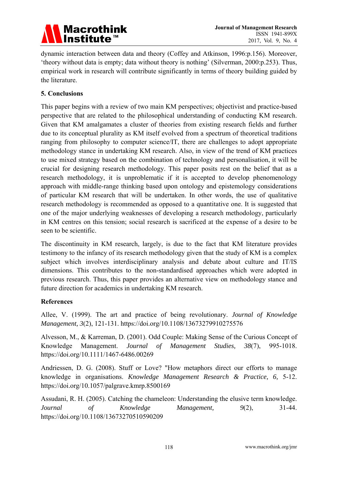

dynamic interaction between data and theory (Coffey and Atkinson, 1996:p.156). Moreover, 'theory without data is empty; data without theory is nothing' (Silverman, 2000:p.253). Thus, empirical work in research will contribute significantly in terms of theory building guided by the literature.

# **5. Conclusions**

This paper begins with a review of two main KM perspectives; objectivist and practice-based perspective that are related to the philosophical understanding of conducting KM research. Given that KM amalgamates a cluster of theories from existing research fields and further due to its conceptual plurality as KM itself evolved from a spectrum of theoretical traditions ranging from philosophy to computer science/IT, there are challenges to adopt appropriate methodology stance in undertaking KM research. Also, in view of the trend of KM practices to use mixed strategy based on the combination of technology and personalisation, it will be crucial for designing research methodology. This paper posits rest on the belief that as a research methodology, it is unproblematic if it is accepted to develop phenomenology approach with middle-range thinking based upon ontology and epistemology considerations of particular KM research that will be undertaken. In other words, the use of qualitative research methodology is recommended as opposed to a quantitative one. It is suggested that one of the major underlying weaknesses of developing a research methodology, particularly in KM centres on this tension; social research is sacrificed at the expense of a desire to be seen to be scientific.

The discontinuity in KM research, largely, is due to the fact that KM literature provides testimony to the infancy of its research methodology given that the study of KM is a complex subject which involves interdisciplinary analysis and debate about culture and IT/IS dimensions. This contributes to the non-standardised approaches which were adopted in previous research. Thus, this paper provides an alternative view on methodology stance and future direction for academics in undertaking KM research.

#### **References**

Allee, V. (1999). The art and practice of being revolutionary. *Journal of Knowledge Management, 3*(2), 121-131. https://doi.org/10.1108/13673279910275576

Alvesson, M., & Karreman, D. (2001). Odd Couple: Making Sense of the Curious Concept of Knowledge Management. *Journal of Management Studies, 38*(7), 995-1018. https://doi.org/10.1111/1467-6486.00269

Andriessen, D. G. (2008). Stuff or Love? "How metaphors direct our efforts to manage knowledge in organisations. *Knowledge Management Research & Practice, 6,* 5-12. https://doi.org/10.1057/palgrave.kmrp.8500169

Assudani, R. H. (2005). Catching the chameleon: Understanding the elusive term knowledge. *Journal of Knowledge Management, 9*(2), 31-44. https://doi.org/10.1108/13673270510590209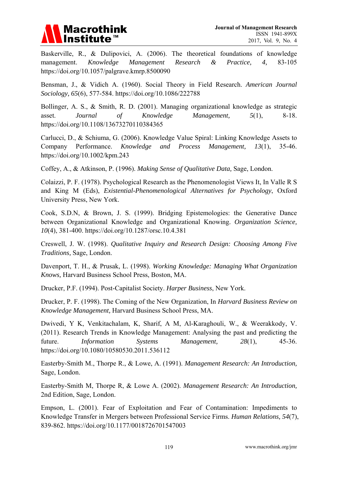

Baskerville, R., & Dulipovici, A. (2006). The theoretical foundations of knowledge management. *Knowledge Management Research & Practice, 4,* 83-105 https://doi.org/10.1057/palgrave.kmrp.8500090

Bensman, J., & Vidich A. (1960). Social Theory in Field Research. *American Journal Sociology, 65*(6), 577-584. https://doi.org/10.1086/222788

Bollinger, A. S., & Smith, R. D. (2001). Managing organizational knowledge as strategic asset. *Journal of Knowledge Management, 5*(1), 8-18. https://doi.org/10.1108/13673270110384365

Carlucci, D., & Schiuma, G. (2006). Knowledge Value Spiral: Linking Knowledge Assets to Company Performance. *Knowledge and Process Management, 13*(1), 35-46. https://doi.org/10.1002/kpm.243

Coffey, A., & Atkinson, P. (1996). *Making Sense of Qualitative Data,* Sage, London.

Colaizzi, P. F. (1978). Psychological Research as the Phenomenologist Views It, In Valle R S and King M (Eds), *Existential-Phenomenological Alternatives for Psychology*, Oxford University Press, New York.

Cook, S.D.N, & Brown, J. S. (1999). Bridging Epistemologies: the Generative Dance between Organizational Knowledge and Organizational Knowing. *Organization Science, 10*(4), 381-400. https://doi.org/10.1287/orsc.10.4.381

Creswell, J. W. (1998). *Qualitative Inquiry and Research Design: Choosing Among Five Traditions,* Sage, London.

Davenport, T. H., & Prusak, L. (1998). *Working Knowledge: Managing What Organization Knows,* Harvard Business School Press, Boston, MA.

Drucker, P.F. (1994). Post-Capitalist Society. *Harper Business*, New York.

Drucker, P. F. (1998). The Coming of the New Organization, In *Harvard Business Review on Knowledge Management,* Harvard Business School Press, MA.

Dwivedi, Y K, Venkitachalam, K, Sharif, A M, Al-Karaghouli, W., & Weerakkody, V. (2011). Research Trends in Knowledge Management: Analysing the past and predicting the future. *Information Systems Management, 28*(1), 45-36. https://doi.org/10.1080/10580530.2011.536112

Easterby-Smith M., Thorpe R., & Lowe, A. (1991). *Management Research: An Introduction,* Sage, London.

Easterby-Smith M, Thorpe R, & Lowe A. (2002). *Management Research: An Introduction,*  2nd Edition, Sage, London.

Empson, L. (2001). Fear of Exploitation and Fear of Contamination: Impediments to Knowledge Transfer in Mergers between Professional Service Firms. *Human Relations, 54*(7), 839-862. https://doi.org/10.1177/0018726701547003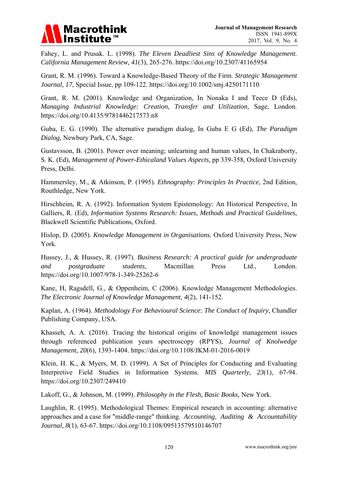

Fahey, L. and Prusak. L. (1998). *The Eleven Deadliest Sins of Knowledge Management. California Management Review, 41*(3), 265-276. https://doi.org/10.2307/41165954

Grant, R. M. (1996). Toward a Knowledge-Based Theory of the Firm. *Strategic Management Journal, 17*, Special Issue, pp 109-122. https://doi.org/10.1002/smj.4250171110

Grant, R. M. (2001). Knowledge and Organization, In Nonaka I and Teece D (Eds), *Managing Industrial Knowledge: Creation, Transfer and Utilization,* Sage, London. https://doi.org/10.4135/9781446217573.n8

Guba, E. G. (1990). The alternative paradigm dialog, In Guba E G (Ed), *The Paradigm Dialog,* Newbury Park, CA, Sage.

Gustavsson, B. (2001). Power over meaning; unlearning and human values, In Chakraborty, S. K. (Ed), *Management of Power-Ethicaland Values Aspects,* pp 339-358, Oxford University Press, Delhi.

Hammersley, M., & Atkinson, P. (1995). *Ethnography: Principles In Practice*, 2nd Edition, Routhledge, New York.

Hirschheim, R. A. (1992). Information System Epistemology: An Historical Perspective, In Galliers, R. (Ed), *Information Systems Research: Issues, Methods and Practical Guidelines,*  Blackwell Scientific Publications, Oxford.

Hislop, D. (2005). *Knowledge Management in Organisations.* Oxford University Press, New York.

Hussey, J., & Hussey, R. (1997). *Business Research: A practical guide for undergraduate and postgraduate students,* Macmillan Press Ltd., London. https://doi.org/10.1007/978-1-349-25262-6

Kane, H, Ragsdell, G., & Oppenheim, C (2006). Knowledge Management Methodologies. *The Electronic Journal of Knowledge Management, 4*(2), 141-152.

Kaplan, A. (1964). *Methodology For Behavioural Science: The Conduct of Inquiry,* Chandler Publishing Company, USA.

Khasseh, A. A. (2016). Tracing the historical origins of knowledge management issues through referenced publication years spectroscopy (RPYS), *Journal of Knolwedge Management, 20*(6), 1393-1404. https://doi.org/10.1108/JKM-01-2016-0019

Klein, H. K., & Myers, M. D. (1999). A Set of Principles for Conducting and Evaluating Interpretive Field Studies in Information Systems. *MIS Quarterly, 23*(1), 67-94. https://doi.org/10.2307/249410

Lakoff, G., & Johnson, M. (1999). *Philosophy in the Flesh, Basic Books,* New York.

Laughlin, R. (1995). Methodological Themes: Empirical research in accounting: alternative approaches and a case for "middle-range" thinking. *Accounting, Auditing & Accountability Journal, 8*(1), 63-67. https://doi.org/10.1108/09513579510146707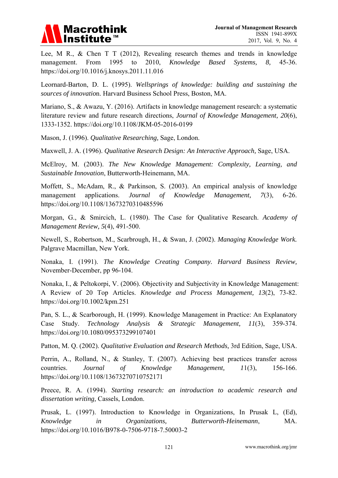

Lee, M R., & Chen T T (2012), Revealing research themes and trends in knowledge management. From 1995 to 2010, *Knowledge Based Systems, 8,* 45-36. https://doi.org/10.1016/j.knosys.2011.11.016

Leornard-Barton, D. L. (1995). *Wellsprings of knowledge: building and sustaining the sources of innovatio*n. Harvard Business School Press, Boston, MA.

Mariano, S., & Awazu, Y. (2016). Artifacts in knowledge management research: a systematic literature review and future research directions, *Journal of Knowledge Management, 20*(6), 1333-1352. https://doi.org/10.1108/JKM-05-2016-0199

Mason, J. (1996). *Qualitative Researching,* Sage, London.

Maxwell, J. A. (1996). *Qualitative Research Design: An Interactive Approach,* Sage, USA.

McElroy, M. (2003). *The New Knowledge Management: Complexity, Learning, and Sustainable Innovation*, Butterworth-Heinemann, MA.

Moffett, S., McAdam, R., & Parkinson, S. (2003). An empirical analysis of knowledge management applications. *Journal of Knowledge Management, 7*(3), 6-26. https://doi.org/10.1108/13673270310485596

Morgan, G., & Smircich, L. (1980). The Case for Qualitative Research. *Academy of Management Review, 5*(4), 491-500.

Newell, S., Robertson, M., Scarbrough, H., & Swan, J. (2002). *Managing Knowledge Work.*  Palgrave Macmillan, New York.

Nonaka, I. (1991). *The Knowledge Creating Company. Harvard Business Review,*  November-December, pp 96-104.

Nonaka, I., & Peltokorpi, V. (2006). Objectivity and Subjectivity in Knowledge Management: A Review of 20 Top Articles. *Knowledge and Process Management, 13*(2), 73-82. https://doi.org/10.1002/kpm.251

Pan, S. L., & Scarborough, H. (1999). Knowledge Management in Practice: An Explanatory Case Study. *Technology Analysis & Strategic Management, 11*(3), 359-374. https://doi.org/10.1080/095373299107401

Patton, M. Q. (2002). *Qualitative Evaluation and Research Methods,* 3rd Edition, Sage, USA.

Perrin, A., Rolland, N., & Stanley, T. (2007). Achieving best practices transfer across countries. *Journal of Knowledge Management, 1*1(3), 156-166. https://doi.org/10.1108/13673270710752171

Preece, R. A. (1994). *Starting research: an introduction to academic research and dissertation writing,* Cassels, London.

Prusak, L. (1997). Introduction to Knowledge in Organizations, In Prusak L, (Ed), *Knowledge in Organizations, Butterworth-Heinemann*, MA. https://doi.org/10.1016/B978-0-7506-9718-7.50003-2